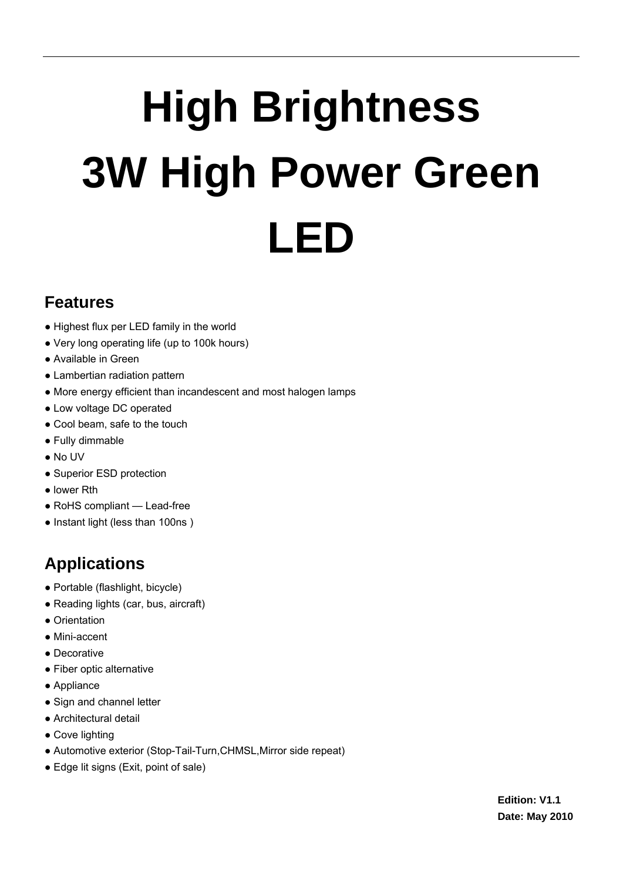# **High Brightness 3W High Power Green LED**

### **Features**

- Highest flux per LED family in the world
- Very long operating life (up to 100k hours)
- Available in Green
- Lambertian radiation pattern
- More energy efficient than incandescent and most halogen lamps
- Low voltage DC operated
- Cool beam, safe to the touch
- Fully dimmable
- No UV
- Superior ESD protection
- lower Rth
- RoHS compliant Lead-free
- Instant light (less than 100ns )

# **Applications**

- Portable (flashlight, bicycle)
- Reading lights (car, bus, aircraft)
- Orientation
- Mini-accent
- Decorative
- Fiber optic alternative
- Appliance
- Sign and channel letter
- Architectural detail
- Cove lighting
- Automotive exterior (Stop-Tail-Turn,CHMSL,Mirror side repeat)
- Edge lit signs (Exit, point of sale)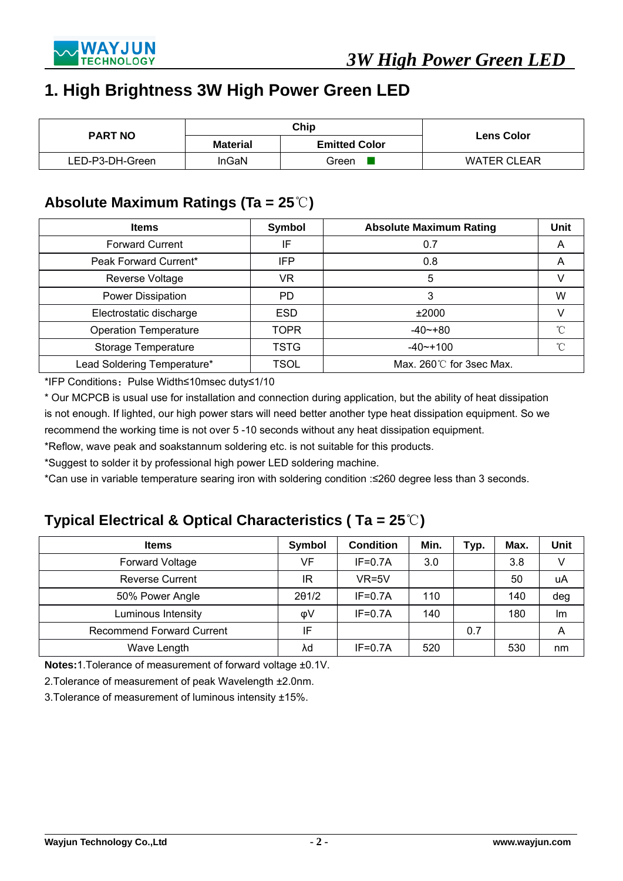

#### **1. High Brightness 3W High Power Green LED**

| <b>PART NO</b>  |                 | Chip                 | <b>Lens Color</b>  |  |
|-----------------|-----------------|----------------------|--------------------|--|
|                 | <b>Material</b> | <b>Emitted Color</b> |                    |  |
| LED-P3-DH-Green | InGaN           | Green                | <b>WATER CLEAR</b> |  |

#### **Absolute Maximum Ratings (Ta = 25**℃**)**

| <b>Items</b>                 | Symbol      | <b>Absolute Maximum Rating</b> | Unit |  |
|------------------------------|-------------|--------------------------------|------|--|
| <b>Forward Current</b>       | IF          | 0.7                            | A    |  |
| Peak Forward Current*        | <b>IFP</b>  | 0.8                            | A    |  |
| Reverse Voltage              | VR          | 5                              |      |  |
| Power Dissipation            | PD.         | 3                              | W    |  |
| Electrostatic discharge      | <b>ESD</b>  | ±2000                          |      |  |
| <b>Operation Temperature</b> | <b>TOPR</b> | $-40$ $-180$                   | °C   |  |
| Storage Temperature          | TSTG        | $-40$ $-100$                   | °C   |  |
| Lead Soldering Temperature*  | TSOL        | Max. 260°C for 3sec Max.       |      |  |

\*IFP Conditions:Pulse Width≤10msec duty≤1/10

\* Our MCPCB is usual use for installation and connection during application, but the ability of heat dissipation is not enough. If lighted, our high power stars will need better another type heat dissipation equipment. So we recommend the working time is not over 5 -10 seconds without any heat dissipation equipment.

\*Reflow, wave peak and soakstannum soldering etc. is not suitable for this products.

\*Suggest to solder it by professional high power LED soldering machine.

\*Can use in variable temperature searing iron with soldering condition :≤260 degree less than 3 seconds.

#### **Typical Electrical & Optical Characteristics ( Ta = 25**℃**)**

| <b>Items</b>                     | Symbol | <b>Condition</b> | Min. | Typ. | Max. | Unit |
|----------------------------------|--------|------------------|------|------|------|------|
| Forward Voltage                  | VF     | $IF=0.7A$        | 3.0  |      | 3.8  | V    |
| <b>Reverse Current</b>           | ΙR     | $VR=5V$          |      |      | 50   | uA   |
| 50% Power Angle                  | 201/2  | $IF=0.7A$        | 110  |      | 140  | deg  |
| Luminous Intensity               | φV     | $IF=0.7A$        | 140  |      | 180  | lm   |
| <b>Recommend Forward Current</b> | IF     |                  |      | 0.7  |      | Α    |
| Wave Length                      | λd     | $IF=0.7A$        | 520  |      | 530  | nm   |

**Notes:**1.Tolerance of measurement of forward voltage ±0.1V.

2.Tolerance of measurement of peak Wavelength ±2.0nm.

3.Tolerance of measurement of luminous intensity ±15%.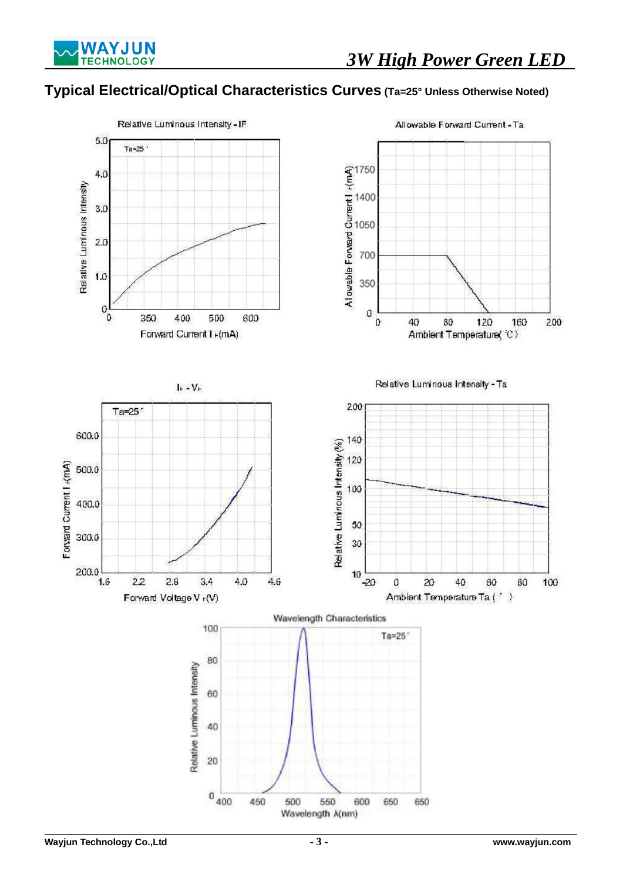